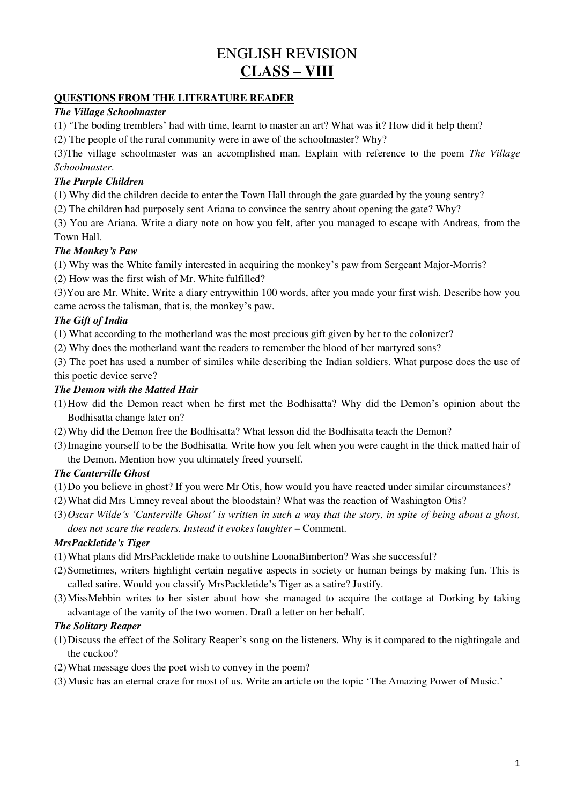# ENGLISH REVISION **CLASS – VIII**

### **QUESTIONS FROM THE LITERATURE READER**

### *The Village Schoolmaster*

(1) 'The boding tremblers' had with time, learnt to master an art? What was it? How did it help them?

(2) The people of the rural community were in awe of the schoolmaster? Why?

(3)The village schoolmaster was an accomplished man. Explain with reference to the poem *The Village Schoolmaster*.

# *The Purple Children*

(1) Why did the children decide to enter the Town Hall through the gate guarded by the young sentry?

(2) The children had purposely sent Ariana to convince the sentry about opening the gate? Why?

(3) You are Ariana. Write a diary note on how you felt, after you managed to escape with Andreas, from the Town Hall.

# *The Monkey's Paw*

(1) Why was the White family interested in acquiring the monkey's paw from Sergeant Major-Morris?

(2) How was the first wish of Mr. White fulfilled?

(3)You are Mr. White. Write a diary entrywithin 100 words, after you made your first wish. Describe how you came across the talisman, that is, the monkey's paw.

# *The Gift of India*

(1) What according to the motherland was the most precious gift given by her to the colonizer?

(2) Why does the motherland want the readers to remember the blood of her martyred sons?

(3) The poet has used a number of similes while describing the Indian soldiers. What purpose does the use of this poetic device serve?

# *The Demon with the Matted Hair*

- (1)How did the Demon react when he first met the Bodhisatta? Why did the Demon's opinion about the Bodhisatta change later on?
- (2)Why did the Demon free the Bodhisatta? What lesson did the Bodhisatta teach the Demon?
- (3)Imagine yourself to be the Bodhisatta. Write how you felt when you were caught in the thick matted hair of the Demon. Mention how you ultimately freed yourself.

# *The Canterville Ghost*

- (1)Do you believe in ghost? If you were Mr Otis, how would you have reacted under similar circumstances?
- (2)What did Mrs Umney reveal about the bloodstain? What was the reaction of Washington Otis?
- (3)*Oscar Wilde's 'Canterville Ghost' is written in such a way that the story, in spite of being about a ghost, does not scare the readers. Instead it evokes laughter* – Comment.

# *MrsPackletide's Tiger*

- (1)What plans did MrsPackletide make to outshine LoonaBimberton? Was she successful?
- (2)Sometimes, writers highlight certain negative aspects in society or human beings by making fun. This is called satire. Would you classify MrsPackletide's Tiger as a satire? Justify.
- (3)MissMebbin writes to her sister about how she managed to acquire the cottage at Dorking by taking advantage of the vanity of the two women. Draft a letter on her behalf.

# *The Solitary Reaper*

- (1)Discuss the effect of the Solitary Reaper's song on the listeners. Why is it compared to the nightingale and the cuckoo?
- (2)What message does the poet wish to convey in the poem?
- (3)Music has an eternal craze for most of us. Write an article on the topic 'The Amazing Power of Music.'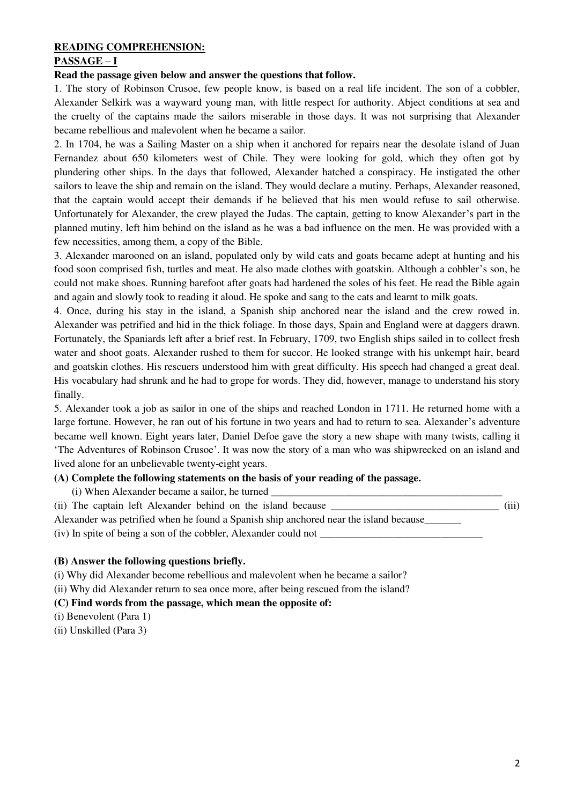#### **READING COMPREHENSION:**

### **PASSAGE – I**

#### **Read the passage given below and answer the questions that follow.**

1. The story of Robinson Crusoe, few people know, is based on a real life incident. The son of a cobbler, Alexander Selkirk was a wayward young man, with little respect for authority. Abject conditions at sea and the cruelty of the captains made the sailors miserable in those days. It was not surprising that Alexander became rebellious and malevolent when he became a sailor.

2. In 1704, he was a Sailing Master on a ship when it anchored for repairs near the desolate island of Juan Fernandez about 650 kilometers west of Chile. They were looking for gold, which they often got by plundering other ships. In the days that followed, Alexander hatched a conspiracy. He instigated the other sailors to leave the ship and remain on the island. They would declare a mutiny. Perhaps, Alexander reasoned, that the captain would accept their demands if he believed that his men would refuse to sail otherwise. Unfortunately for Alexander, the crew played the Judas. The captain, getting to know Alexander's part in the planned mutiny, left him behind on the island as he was a bad influence on the men. He was provided with a few necessities, among them, a copy of the Bible.

3. Alexander marooned on an island, populated only by wild cats and goats became adept at hunting and his food soon comprised fish, turtles and meat. He also made clothes with goatskin. Although a cobbler's son, he could not make shoes. Running barefoot after goats had hardened the soles of his feet. He read the Bible again and again and slowly took to reading it aloud. He spoke and sang to the cats and learnt to milk goats.

4. Once, during his stay in the island, a Spanish ship anchored near the island and the crew rowed in. Alexander was petrified and hid in the thick foliage. In those days, Spain and England were at daggers drawn. Fortunately, the Spaniards left after a brief rest. In February, 1709, two English ships sailed in to collect fresh water and shoot goats. Alexander rushed to them for succor. He looked strange with his unkempt hair, beard and goatskin clothes. His rescuers understood him with great difficulty. His speech had changed a great deal. His vocabulary had shrunk and he had to grope for words. They did, however, manage to understand his story finally.

5. Alexander took a job as sailor in one of the ships and reached London in 1711. He returned home with a large fortune. However, he ran out of his fortune in two years and had to return to sea. Alexander's adventure became well known. Eight years later, Daniel Defoe gave the story a new shape with many twists, calling it 'The Adventures of Robinson Crusoe'. It was now the story of a man who was shipwrecked on an island and lived alone for an unbelievable twenty-eight years.

### **(A) Complete the following statements on the basis of your reading of the passage.**

(i) When Alexander became a sailor, he turned

(ii) The captain left Alexander behind on the island because  $(iii)$ Alexander was petrified when he found a Spanish ship anchored near the island because\_\_\_\_\_\_\_  $(iv)$  In spite of being a son of the cobbler, Alexander could not  $\Box$ 

#### **(B) Answer the following questions briefly.**

(i) Why did Alexander become rebellious and malevolent when he became a sailor?

(ii) Why did Alexander return to sea once more, after being rescued from the island?

#### **(C) Find words from the passage, which mean the opposite of:**

- (i) Benevolent (Para 1)
- (ii) Unskilled (Para 3)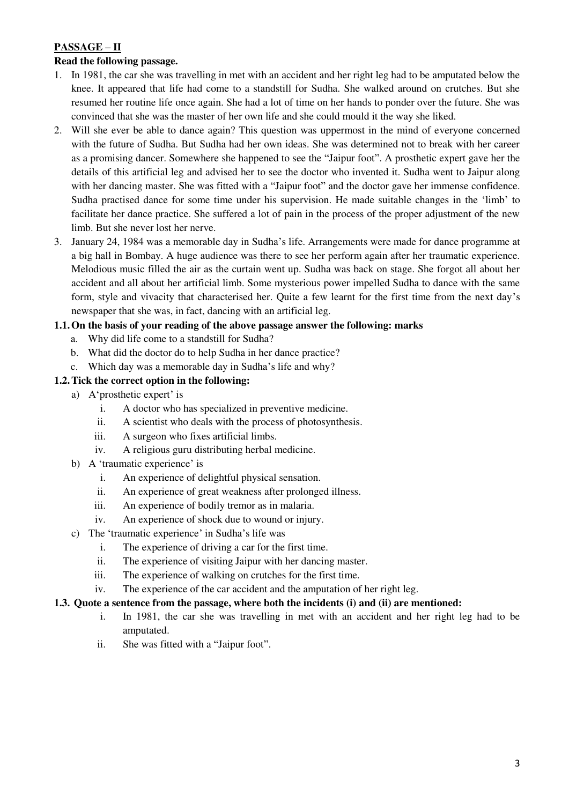# **PASSAGE – II**

# **Read the following passage.**

- 1. In 1981, the car she was travelling in met with an accident and her right leg had to be amputated below the knee. It appeared that life had come to a standstill for Sudha. She walked around on crutches. But she resumed her routine life once again. She had a lot of time on her hands to ponder over the future. She was convinced that she was the master of her own life and she could mould it the way she liked.
- 2. Will she ever be able to dance again? This question was uppermost in the mind of everyone concerned with the future of Sudha. But Sudha had her own ideas. She was determined not to break with her career as a promising dancer. Somewhere she happened to see the "Jaipur foot". A prosthetic expert gave her the details of this artificial leg and advised her to see the doctor who invented it. Sudha went to Jaipur along with her dancing master. She was fitted with a "Jaipur foot" and the doctor gave her immense confidence. Sudha practised dance for some time under his supervision. He made suitable changes in the 'limb' to facilitate her dance practice. She suffered a lot of pain in the process of the proper adjustment of the new limb. But she never lost her nerve.
- 3. January 24, 1984 was a memorable day in Sudha's life. Arrangements were made for dance programme at a big hall in Bombay. A huge audience was there to see her perform again after her traumatic experience. Melodious music filled the air as the curtain went up. Sudha was back on stage. She forgot all about her accident and all about her artificial limb. Some mysterious power impelled Sudha to dance with the same form, style and vivacity that characterised her. Quite a few learnt for the first time from the next day's newspaper that she was, in fact, dancing with an artificial leg.

# **1.1.On the basis of your reading of the above passage answer the following: marks**

- a. Why did life come to a standstill for Sudha?
- b. What did the doctor do to help Sudha in her dance practice?
- c. Which day was a memorable day in Sudha's life and why?

### **1.2.Tick the correct option in the following:**

- a) A'prosthetic expert' is
	- i. A doctor who has specialized in preventive medicine.
	- ii. A scientist who deals with the process of photosynthesis.
	- iii. A surgeon who fixes artificial limbs.
	- iv. A religious guru distributing herbal medicine.
- b) A 'traumatic experience' is
	- i. An experience of delightful physical sensation.
	- ii. An experience of great weakness after prolonged illness.
	- iii. An experience of bodily tremor as in malaria.
	- iv. An experience of shock due to wound or injury.
- c) The 'traumatic experience' in Sudha's life was
	- i. The experience of driving a car for the first time.
	- ii. The experience of visiting Jaipur with her dancing master.
	- iii. The experience of walking on crutches for the first time.
	- iv. The experience of the car accident and the amputation of her right leg.

### **1.3. Quote a sentence from the passage, where both the incidents (i) and (ii) are mentioned:**

- i. In 1981, the car she was travelling in met with an accident and her right leg had to be amputated.
- ii. She was fitted with a "Jaipur foot".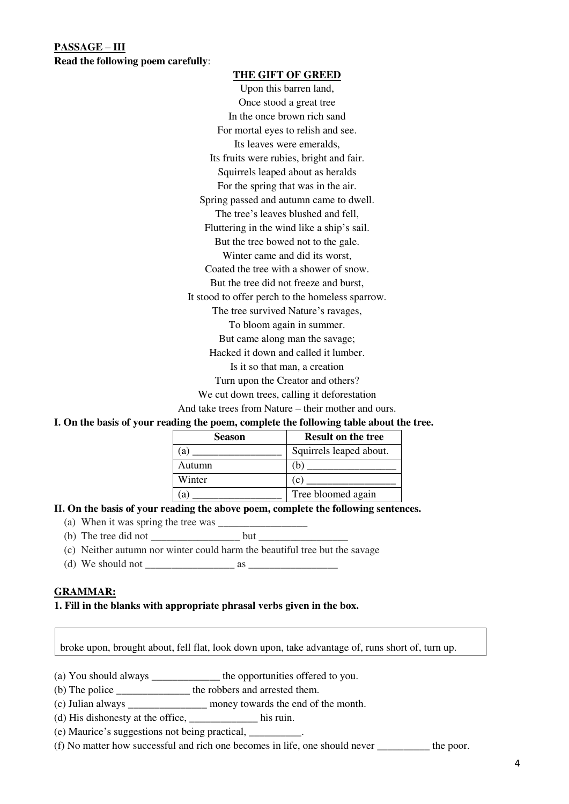**PASSAGE – III Read the following poem carefully**:

#### **THE GIFT OF GREED**

Upon this barren land, Once stood a great tree In the once brown rich sand For mortal eyes to relish and see. Its leaves were emeralds, Its fruits were rubies, bright and fair. Squirrels leaped about as heralds For the spring that was in the air. Spring passed and autumn came to dwell. The tree's leaves blushed and fell, Fluttering in the wind like a ship's sail. But the tree bowed not to the gale. Winter came and did its worst, Coated the tree with a shower of snow. But the tree did not freeze and burst, It stood to offer perch to the homeless sparrow. The tree survived Nature's ravages, To bloom again in summer. But came along man the savage; Hacked it down and called it lumber. Is it so that man, a creation Turn upon the Creator and others?

We cut down trees, calling it deforestation

And take trees from Nature – their mother and ours.

#### **I. On the basis of your reading the poem, complete the following table about the tree.**

| <b>Season</b> | <b>Result on the tree</b> |
|---------------|---------------------------|
| ta i          | Squirrels leaped about.   |
| Autumn        | (h                        |
| Winter        | (C                        |
|               | Tree bloomed again        |

#### **II. On the basis of your reading the above poem, complete the following sentences.**

- (a) When it was spring the tree was  $\frac{1}{\sqrt{2\pi}}$
- (b) The tree did not  $\frac{1}{\sqrt{2\pi}}$  but  $\frac{1}{\sqrt{2\pi}}$
- (c) Neither autumn nor winter could harm the beautiful tree but the savage
- (d) We should not  $\frac{1}{\sqrt{2}}$  as  $\frac{1}{\sqrt{2}}$

#### **GRAMMAR:**

#### **1. Fill in the blanks with appropriate phrasal verbs given in the box.**

broke upon, brought about, fell flat, look down upon, take advantage of, runs short of, turn up.

(a) You should always \_\_\_\_\_\_\_\_\_\_\_\_\_ the opportunities offered to you.

- (b) The police \_\_\_\_\_\_\_\_\_\_\_\_\_\_ the robbers and arrested them.
- (c) Julian always \_\_\_\_\_\_\_\_\_\_\_\_\_\_\_ money towards the end of the month.
- (d) His dishonesty at the office, \_\_\_\_\_\_\_\_\_\_\_\_\_ his ruin.
- (e) Maurice's suggestions not being practical, \_\_\_\_\_\_\_\_\_\_.

(f) No matter how successful and rich one becomes in life, one should never \_\_\_\_\_\_\_\_\_\_ the poor.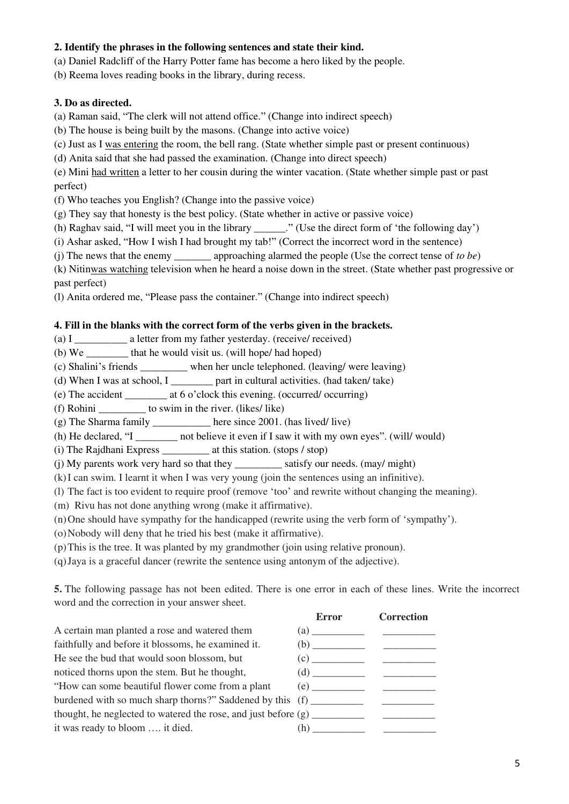# **2. Identify the phrases in the following sentences and state their kind.**

(a) Daniel Radcliff of the Harry Potter fame has become a hero liked by the people.

(b) Reema loves reading books in the library, during recess.

### **3. Do as directed.**

(a) Raman said, "The clerk will not attend office." (Change into indirect speech)

(b) The house is being built by the masons. (Change into active voice)

(c) Just as I was entering the room, the bell rang. (State whether simple past or present continuous)

(d) Anita said that she had passed the examination. (Change into direct speech)

(e) Mini had written a letter to her cousin during the winter vacation. (State whether simple past or past perfect)

(f) Who teaches you English? (Change into the passive voice)

(g) They say that honesty is the best policy. (State whether in active or passive voice)

(h) Raghav said, "I will meet you in the library \_\_\_\_\_\_." (Use the direct form of 'the following day')

(i) Ashar asked, "How I wish I had brought my tab!" (Correct the incorrect word in the sentence)

(j) The news that the enemy \_\_\_\_\_\_\_ approaching alarmed the people (Use the correct tense of *to be*)

(k) Nitinwas watching television when he heard a noise down in the street. (State whether past progressive or past perfect)

(l) Anita ordered me, "Please pass the container." (Change into indirect speech)

### **4. Fill in the blanks with the correct form of the verbs given in the brackets.**

(a) I \_\_\_\_\_\_\_\_\_\_\_ a letter from my father yesterday. (received received)

(b) We  $\qquad \qquad$  that he would visit us. (will hope/ had hoped)

(c) Shalini's friends \_\_\_\_\_\_\_\_\_ when her uncle telephoned. (leaving/ were leaving)

(d) When I was at school, I  $\qquad \qquad$  part in cultural activities. (had taken/ take)

(e) The accident \_\_\_\_\_\_\_\_ at 6 o'clock this evening. (occurred/ occurring)

(f) Rohini \_\_\_\_\_\_\_\_\_ to swim in the river. (likes/ like)

(g) The Sharma family here since  $2001$ . (has lived/ live)

(h) He declared, "I \_\_\_\_\_\_\_ not believe it even if I saw it with my own eyes". (will/ would)

(i) The Rajdhani Express \_\_\_\_\_\_\_\_\_ at this station. (stops / stop)

(j) My parents work very hard so that they \_\_\_\_\_\_\_\_\_ satisfy our needs. (may/ might)

(k)I can swim. I learnt it when I was very young (join the sentences using an infinitive).

(l) The fact is too evident to require proof (remove 'too' and rewrite without changing the meaning).

(m) Rivu has not done anything wrong (make it affirmative).

(n)One should have sympathy for the handicapped (rewrite using the verb form of 'sympathy').

(o)Nobody will deny that he tried his best (make it affirmative).

(p)This is the tree. It was planted by my grandmother (join using relative pronoun).

(q)Jaya is a graceful dancer (rewrite the sentence using antonym of the adjective).

**5.** The following passage has not been edited. There is one error in each of these lines. Write the incorrect word and the correction in your answer sheet.

 **Error Correction**  A certain man planted a rose and watered them (a) \_\_\_\_\_\_\_\_\_\_ \_\_\_\_\_\_\_\_\_\_ faithfully and before it blossoms, he examined it. (b) \_\_\_\_\_\_\_\_\_\_ \_\_\_\_\_\_\_\_\_\_ He see the bud that would soon blossom, but  $(c)$   $(c)$ noticed thorns upon the stem. But he thought, (d) \_\_\_\_\_\_\_\_\_\_ \_\_\_\_\_\_\_\_\_\_ "How can some beautiful flower come from a plant (e) \_\_\_\_\_\_\_\_\_\_ \_\_\_\_\_\_\_\_\_\_ burdened with so much sharp thorns?" Saddened by this (f) \_\_\_\_\_\_\_\_\_\_\_\_\_\_\_\_\_\_\_\_\_\_ thought, he neglected to watered the rose, and just before  $(g)$ it was ready to bloom  $\dots$  it died.  $(h)$